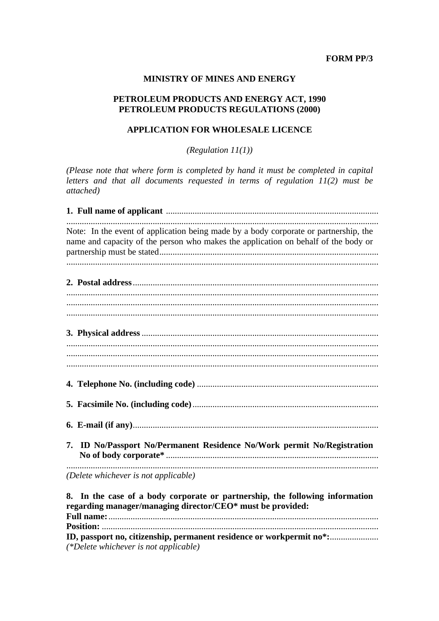## **FORM PP/3**

### **MINISTRY OF MINES AND ENERGY**

## PETROLEUM PRODUCTS AND ENERGY ACT, 1990 PETROLEUM PRODUCTS REGULATIONS (2000)

## **APPLICATION FOR WHOLESALE LICENCE**

(Regulation  $11(1)$ )

(Please note that where form is completed by hand it must be completed in capital letters and that all documents requested in terms of regulation  $11(2)$  must be attached)

| Note: In the event of application being made by a body corporate or partnership, the<br>name and capacity of the person who makes the application on behalf of the body or |
|----------------------------------------------------------------------------------------------------------------------------------------------------------------------------|
|                                                                                                                                                                            |
|                                                                                                                                                                            |
|                                                                                                                                                                            |
|                                                                                                                                                                            |
|                                                                                                                                                                            |
|                                                                                                                                                                            |
|                                                                                                                                                                            |
|                                                                                                                                                                            |
|                                                                                                                                                                            |
|                                                                                                                                                                            |
|                                                                                                                                                                            |
|                                                                                                                                                                            |
|                                                                                                                                                                            |
|                                                                                                                                                                            |
|                                                                                                                                                                            |
| 7. ID No/Passport No/Permanent Residence No/Work permit No/Registration                                                                                                    |
|                                                                                                                                                                            |
| (Delete whichever is not applicable)                                                                                                                                       |
| 8. In the case of a body corporate or partnership, the following information<br>regarding manager/managing director/CEO* must be provided:                                 |

(\*Delete whichever is not applicable)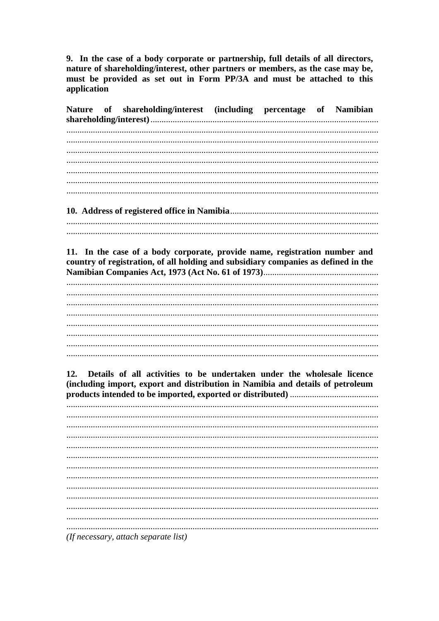9. In the case of a body corporate or partnership, full details of all directors, nature of shareholding/interest, other partners or members, as the case may be, must be provided as set out in Form PP/3A and must be attached to this application

| <b>Nature</b><br>of | shareholding/interest (including percentage of Namibian                            |  |  |
|---------------------|------------------------------------------------------------------------------------|--|--|
|                     |                                                                                    |  |  |
|                     |                                                                                    |  |  |
|                     |                                                                                    |  |  |
|                     |                                                                                    |  |  |
|                     |                                                                                    |  |  |
|                     |                                                                                    |  |  |
|                     |                                                                                    |  |  |
|                     |                                                                                    |  |  |
|                     |                                                                                    |  |  |
|                     |                                                                                    |  |  |
|                     |                                                                                    |  |  |
|                     |                                                                                    |  |  |
|                     |                                                                                    |  |  |
|                     | 11. In the case of a body corporate, provide name, registration number and         |  |  |
|                     | country of registration, of all holding and subsidiary companies as defined in the |  |  |
|                     |                                                                                    |  |  |
|                     |                                                                                    |  |  |
|                     |                                                                                    |  |  |
|                     |                                                                                    |  |  |
|                     |                                                                                    |  |  |
|                     |                                                                                    |  |  |
|                     |                                                                                    |  |  |
|                     |                                                                                    |  |  |
|                     |                                                                                    |  |  |
|                     |                                                                                    |  |  |
|                     |                                                                                    |  |  |
| 12.                 | Details of all activities to be undertaken under the wholesale licence             |  |  |
|                     | (including import, export and distribution in Namibia and details of petroleum     |  |  |
|                     |                                                                                    |  |  |
|                     |                                                                                    |  |  |
|                     |                                                                                    |  |  |
|                     |                                                                                    |  |  |
|                     |                                                                                    |  |  |
|                     |                                                                                    |  |  |
|                     |                                                                                    |  |  |
|                     |                                                                                    |  |  |
|                     |                                                                                    |  |  |
|                     |                                                                                    |  |  |
|                     |                                                                                    |  |  |
|                     |                                                                                    |  |  |
|                     |                                                                                    |  |  |
|                     |                                                                                    |  |  |
|                     |                                                                                    |  |  |
|                     |                                                                                    |  |  |
|                     | (If necessary, attach separate list)                                               |  |  |
|                     |                                                                                    |  |  |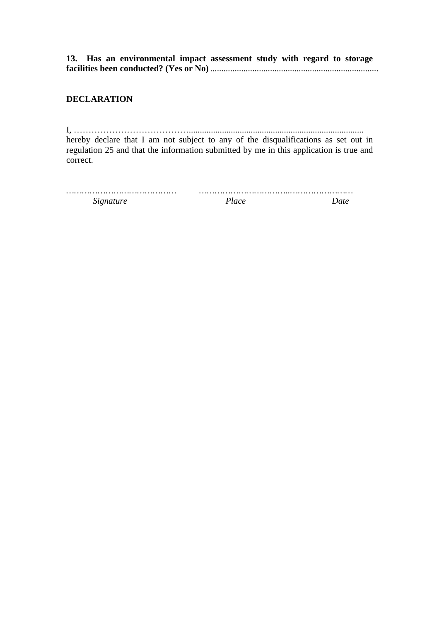**13. Has an environmental impact assessment study with regard to storage facilities been conducted? (Yes or No)** ............................................................................

# **DECLARATION**

I, …………………………………............................................................................... hereby declare that I am not subject to any of the disqualifications as set out in regulation 25 and that the information submitted by me in this application is true and correct.

| Signature | 'lace |  |
|-----------|-------|--|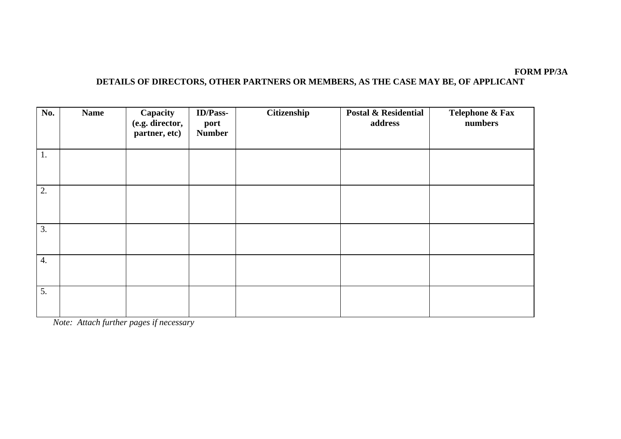### **FORM PP/3A DETAILS OF DIRECTORS, OTHER PARTNERS OR MEMBERS, AS THE CASE MAY BE, OF APPLICANT**

| No. | <b>Name</b> | Capacity<br>(e.g. director,<br>partner, etc) | <b>ID/Pass-</b><br>port<br><b>Number</b> | Citizenship | <b>Postal &amp; Residential</b><br>address | Telephone & Fax<br>numbers |
|-----|-------------|----------------------------------------------|------------------------------------------|-------------|--------------------------------------------|----------------------------|
| 1.  |             |                                              |                                          |             |                                            |                            |
| 2.  |             |                                              |                                          |             |                                            |                            |
| 3.  |             |                                              |                                          |             |                                            |                            |
| 4.  |             |                                              |                                          |             |                                            |                            |
| 5.  |             |                                              |                                          |             |                                            |                            |

*Note: Attach further pages if necessary*